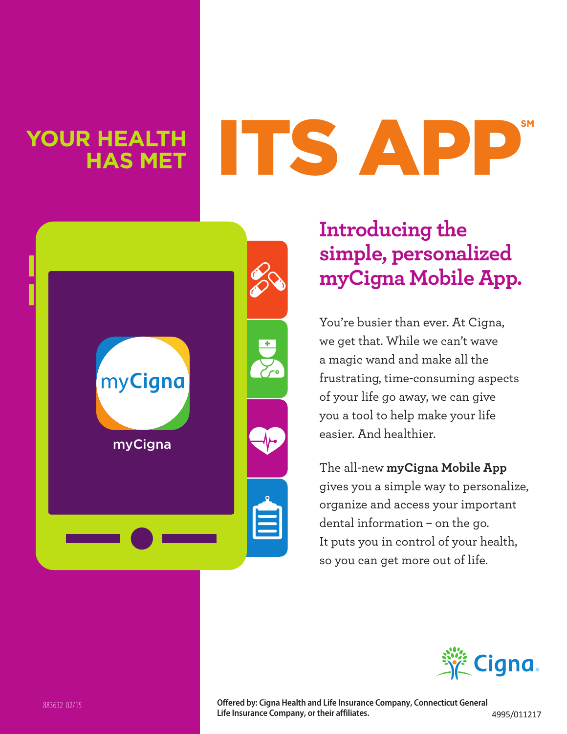## **Your health has met**

# its app**SM**



### **Introducing the simple, personalized myCigna Mobile App.**

You're busier than ever. At Cigna, we get that. While we can't wave a magic wand and make all the frustrating, time-consuming aspects of your life go away, we can give you a tool to help make your life easier. And healthier.

The all-new **myCigna Mobile App** gives you a simple way to personalize, organize and access your important dental information – on the go. It puts you in control of your health, so you can get more out of life.